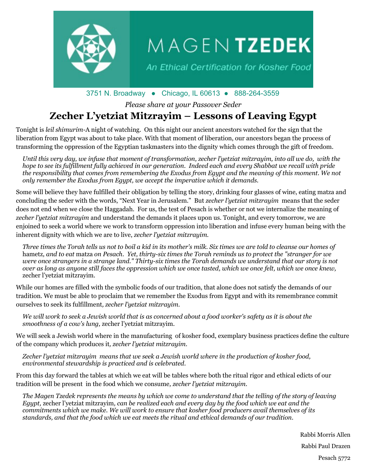

# $M$  A G E N TZEDEK

An Ethical Certification for Kosher Food

### 3751 N. Broadway ● Chicago, IL 60613 ● 888-264-3559

*Please share at your Passover Seder*

## **Zecher L'yetziat Mitzrayim – Lessons of Leaving Egypt**

Tonight is *leil shimurim*-A night of watching. On this night our ancient ancestors watched for the sign that the liberation from Egypt was about to take place. With that moment of liberation, our ancestors began the process of transforming the oppression of the Egyptian taskmasters into the dignity which comes through the gift of freedom.

*Until this very day, we infuse that moment of transformation, zecher l'yetziat mitzrayim, into all we do, with the hope to see its fulfillment fully achieved in our generation. Indeed each and every Shabbat we recall with pride the responsibility that comes from remembering the Exodus from Egypt and the meaning of this moment. We not only remember the Exodus from Egypt, we accept the imperative which it demands.*

Some will believe they have fulfilled their obligation by telling the story, drinking four glasses of wine, eating matza and concluding the seder with the words, "Next Year in Jerusalem." But *zecher l'yetziat mitzrayim* means that the seder does not end when we close the Haggadah. For us, the test of Pesach is whether or not we internalize the meaning of *zecher l'yetziat mitzrayim* and understand the demands it places upon us. Tonight, and every tomorrow, we are enjoined to seek a world where we work to transform oppression into liberation and infuse every human being with the inherent dignity with which we are to live, *zecher l'yetziat mitzrayim.*

*Three times the Torah tells us not to boil a kid in its mother's milk. Six times we are told to cleanse our homes of*  hametz*, and to eat* matza *on Pesach. Yet, thirty-six times the Torah reminds us to protect the "stranger for we were once strangers in a strange land." Thirty-six times the Torah demands we understand that our story is not over as long as anyone still faces the oppression which we once tasted, which we once felt, which we once knew,* zecher l'yetziat mitzrayim.

While our homes are filled with the symbolic foods of our tradition, that alone does not satisfy the demands of our tradition. We must be able to proclaim that we remember the Exodus from Egypt and with its remembrance commit ourselves to seek its fulfillment*, zecher l'yetziat mitzrayim.*

*We will work to seek a Jewish world that is as concerned about a food worker's safety as it is about the smoothness of a cow's lung,* zecher l'yetziat mitzrayim.

We will seek a Jewish world where in the manufacturing of kosher food, exemplary business practices define the culture of the company which produces it*, zecher l'yetziat mitzrayim*.

*Zecher l'yetziat mitzrayim means that we seek a Jewish world where in the production of kosher food, environmental stewardship is practiced and is celebrated.*

From this day forward the tables at which we eat will be tables where both the ritual rigor and ethical edicts of our tradition will be present in the food which we consume*, zecher l'yetziat mitzrayim*.

*The Magen Tzedek represents the means by which we come to understand that the telling of the story of leaving Egypt,* zecher l'yetziat mitzrayim*, can be realized each and every day by the food which we eat and the commitments which we make. We will work to ensure that kosher food producers avail themselves of its standards, and that the food which we eat meets the ritual and ethical demands of our tradition.*

Rabbi Morris Allen

Rabbi Paul Drazen